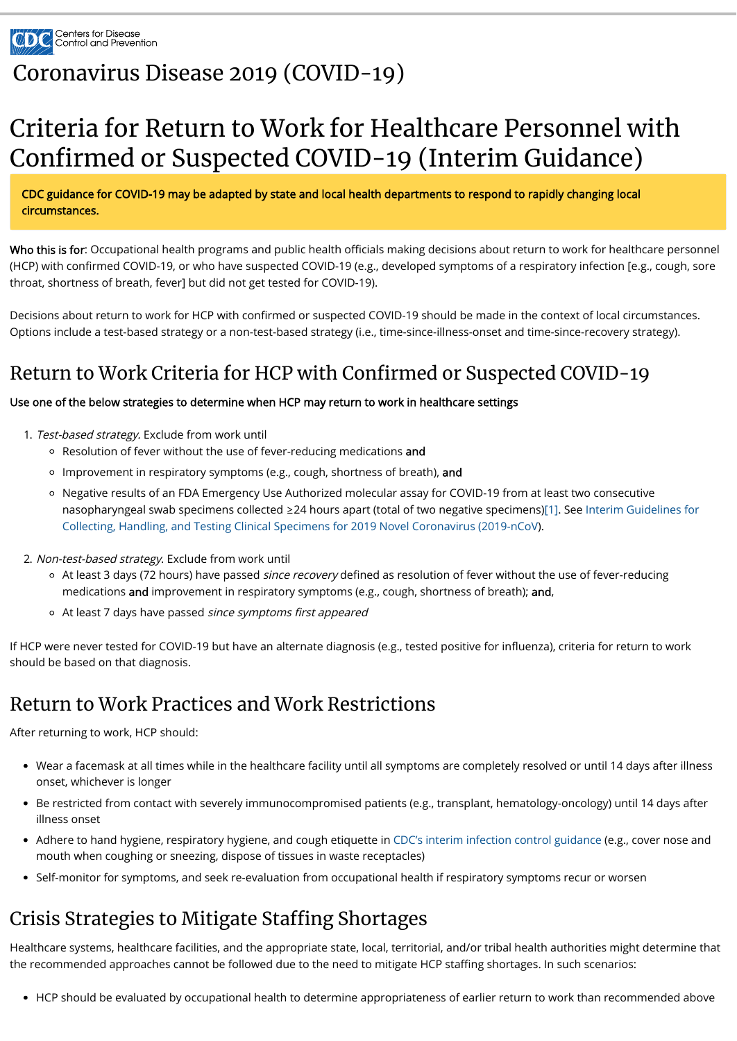

# Criteria for Return to Work for Healthcare Personnel with Confirmed or Suspected COVID-19 (Interim Guidance)

# [Coronavirus Disease 2019 \(COVID-19\)](https://www.cdc.gov/coronavirus/2019-nCoV/index.html)

Who this is for: Occupational health programs and public health officials making decisions about return to work for healthcare personnel (HCP) with confirmed COVID-19, or who have suspected COVID-19 (e.g., developed symptoms of a respiratory infection [e.g., cough, sore throat, shortness of breath, fever] but did not get tested for COVID-19).

Decisions about return to work for HCP with confirmed or suspected COVID-19 should be made in the context of local circumstances. Options include a test-based strategy or a non-test-based strategy (i.e., time-since-illness-onset and time-since-recovery strategy).

## Return to Work Criteria for HCP with Confirmed or Suspected COVID-19

#### Use one of the below strategies to determine when HCP may return to work in healthcare settings

- 1. Test-based strategy. Exclude from work until
	- o Resolution of fever without the use of fever-reducing medications and
	- <sup>o</sup> Improvement in respiratory symptoms (e.g., cough, shortness of breath), and
	- Negative results of an FDA Emergency Use Authorized molecular assay for COVID-19 from at least two consecutive nasopharyngeal swab specimens collected ≥24 hours apart (total of two negative specimens[\)\[1\]](#page-1-0). See Interim Guidelines for [Collecting, Handling, and Testing Clinical Specimens for 2019 Novel Coronavirus \(2019-nCoV\).](https://www.cdc.gov/coronavirus/2019-ncov/lab/guidelines-clinical-specimens.html)
- 2. Non-test-based strategy. Exclude from work until
	- <sup>o</sup> At least 3 days (72 hours) have passed *since recovery* defined as resolution of fever without the use of fever-reducing medications and improvement in respiratory symptoms (e.g., cough, shortness of breath); and,
	- <sup>o</sup> At least 7 days have passed *since symptoms first appeared*

If HCP were never tested for COVID-19 but have an alternate diagnosis (e.g., tested positive for influenza), criteria for return to work should be based on that diagnosis.

- Be restricted from contact with severely immunocompromised patients (e.g., transplant, hematology-oncology) until 14 days after illness onset
- Adhere to hand hygiene, respiratory hygiene, and cough etiquette in [CDC's interim infection control guidance](https://www.cdc.gov/coronavirus/2019-ncov/infection-control/control-recommendations.html) (e.g., cover nose and mouth when coughing or sneezing, dispose of tissues in waste receptacles)
- Self-monitor for symptoms, and seek re-evaluation from occupational health if respiratory symptoms recur or worsen

#### Crisis Strategies to Mitigate Staffing Shortages

Healthcare systems, healthcare facilities, and the appropriate state, local, territorial, and/or tribal health authorities might determine that the recommended approaches cannot be followed due to the need to mitigate HCP staffing shortages. In such scenarios:

### Return to Work Practices and Work Restrictions

After returning to work, HCP should:

Wear a facemask at all times while in the healthcare facility until all symptoms are completely resolved or until 14 days after illness onset, whichever is longer

HCP should be evaluated by occupational health to determine appropriateness of earlier return to work than recommended above

CDC guidance for COVID-19 may be adapted by state and local health departments to respond to rapidly changing local circumstances.